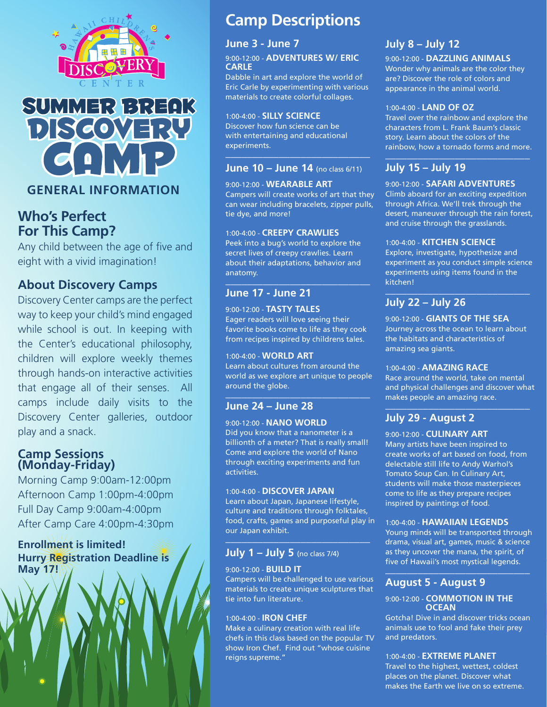



# **Who's Perfect For This Camp?**

Any child between the age of five and eight with a vivid imagination!

# **About Discovery Camps**

Discovery Center camps are the perfect way to keep your child's mind engaged while school is out. In keeping with the Center's educational philosophy, children will explore weekly themes through hands-on interactive activities that engage all of their senses. All camps include daily visits to the Discovery Center galleries, outdoor play and a snack.

## **Camp Sessions (Monday-Friday)**

Morning Camp 9:00am-12:00pm Afternoon Camp 1:00pm-4:00pm Full Day Camp 9:00am-4:00pm After Camp Care 4:00pm-4:30pm

## **Enrollment is limited! Hurry Registration Deadline is May 17!**

# **Camp Descriptions**

## **June 3 - June 7**

#### 9:00-12:00 - **adventures w/ Eric carle**

Dabble in art and explore the world of Eric Carle by experimenting with various materials to create colorful collages.

#### 1:00-4:00 - **Silly Science**

Discover how fun science can be with entertaining and educational experiments. **\_\_\_\_\_\_\_\_\_\_\_\_\_\_\_\_\_\_\_\_\_\_\_\_\_\_\_**

## **June 10 – June 14** (no class 6/11)

9:00-12:00 - **Wearable Art** Campers will create works of art that they can wear including bracelets, zipper pulls, tie dye, and more!

#### 1:00-4:00 - **creepy crawlies**

Peek into a bug's world to explore the secret lives of creepy crawlies. Learn about their adaptations, behavior and anatomy. **\_\_\_\_\_\_\_\_\_\_\_\_\_\_\_\_\_\_\_\_\_\_\_\_\_\_\_**

## **June 17 - June 21**

9:00-12:00 - **tasty tales** Eager readers will love seeing their favorite books come to life as they cook from recipes inspired by childrens tales.

#### 1:00-4:00 - **world art**

Learn about cultures from around the world as we explore art unique to people around the globe. **\_\_\_\_\_\_\_\_\_\_\_\_\_\_\_\_\_\_\_\_\_\_\_\_\_\_\_**

## **June 24 – June 28**

#### 9:00-12:00 - **nano world** Did you know that a nanometer is a billionth of a meter? That is really small! Come and explore the world of Nano through exciting experiments and fun activities.

#### 1:00-4:00 - **discover japan**

Learn about Japan, Japanese lifestyle, culture and traditions through folktales, food, crafts, games and purposeful play in our Japan exhibit. **\_\_\_\_\_\_\_\_\_\_\_\_\_\_\_\_\_\_\_\_\_\_\_\_\_\_\_**

## **July 1 – July 5** (no class 7/4)

#### 9:00-12:00 - **build it**

Campers will be challenged to use various materials to create unique sculptures that tie into fun literature.

#### 1:00-4:00 - **iron chef**

Make a culinary creation with real life chefs in this class based on the popular TV show Iron Chef. Find out "whose cuisine reigns supreme."

# **July 8 – July 12**

9:00-12:00 - **dazzling animals** Wonder why animals are the color they are? Discover the role of colors and appearance in the animal world.

#### 1:00-4:00 - **land of oz**

Travel over the rainbow and explore the characters from L. Frank Baum's classic story. Learn about the colors of the rainbow, how a tornado forms and more. **\_\_\_\_\_\_\_\_\_\_\_\_\_\_\_\_\_\_\_\_\_\_\_\_\_\_\_**

## **July 15 – July 19**

9:00-12:00 - **Safari Adventures**

Climb aboard for an exciting expedition through Africa. We'll trek through the desert, maneuver through the rain forest, and cruise through the grasslands.

#### 1:00-4:00 - **kitchen science**

Explore, investigate, hypothesize and experiment as you conduct simple science experiments using items found in the kitchen! **\_\_\_\_\_\_\_\_\_\_\_\_\_\_\_\_\_\_\_\_\_\_\_\_\_\_\_**

## **July 22 – July 26**

9:00-12:00 - **giants of the sea** Journey across the ocean to learn about the habitats and characteristics of amazing sea giants.

#### 1:00-4:00 - **amazing race**

Race around the world, take on mental and physical challenges and discover what makes people an amazing race. **\_\_\_\_\_\_\_\_\_\_\_\_\_\_\_\_\_\_\_\_\_\_\_\_\_\_\_**

## **July 29 - August 2**

9:00-12:00 - **culinary art**

Many artists have been inspired to create works of art based on food, from delectable still life to Andy Warhol's Tomato Soup Can. In Culinary Art, students will make those masterpieces come to life as they prepare recipes inspired by paintings of food.

#### 1:00-4:00 - **Hawaiian legends**

Young minds will be transported through drama, visual art, games, music & science as they uncover the mana, the spirit, of five of Hawaii's most mystical legends. **\_\_\_\_\_\_\_\_\_\_\_\_\_\_\_\_\_\_\_\_\_\_\_\_\_\_\_**

## **August 5 - August 9**

#### 9:00-12:00 - **Commotion in the ocean**

Gotcha! Dive in and discover tricks ocean animals use to fool and fake their prey and predators.

#### 1:00-4:00 - **extreme planet**

Travel to the highest, wettest, coldest places on the planet. Discover what makes the Earth we live on so extreme.